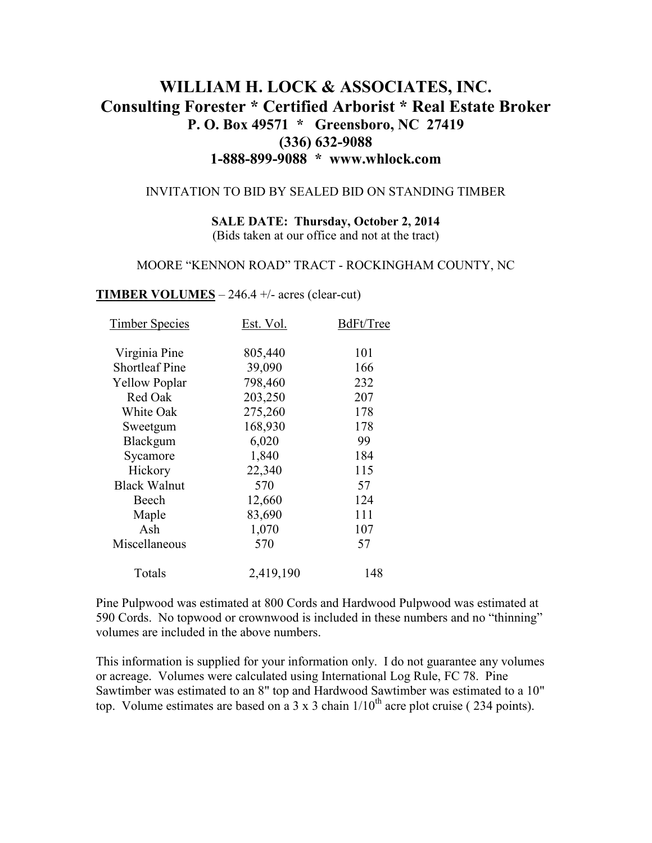# **WILLIAM H. LOCK & ASSOCIATES, INC. Consulting Forester \* Certified Arborist \* Real Estate Broker P. O. Box 49571 \* Greensboro, NC 27419 (336) 632-9088 1-888-899-9088 \* www.whlock.com**

#### INVITATION TO BID BY SEALED BID ON STANDING TIMBER

**SALE DATE: Thursday, October 2, 2014**  (Bids taken at our office and not at the tract)

#### MOORE "KENNON ROAD" TRACT - ROCKINGHAM COUNTY, NC

#### **TIMBER VOLUMES** – 246.4 +/- acres (clear-cut)

| Est. Vol. | BdFt/Tree |
|-----------|-----------|
| 805,440   | 101       |
| 39,090    | 166       |
| 798,460   | 232       |
| 203,250   | 207       |
| 275,260   | 178       |
| 168,930   | 178       |
| 6,020     | 99        |
| 1,840     | 184       |
| 22,340    | 115       |
| 570       | 57        |
| 12,660    | 124       |
| 83,690    | 111       |
| 1,070     | 107       |
| 570       | 57        |
| 2,419,190 | 148       |
|           |           |

Pine Pulpwood was estimated at 800 Cords and Hardwood Pulpwood was estimated at 590 Cords. No topwood or crownwood is included in these numbers and no "thinning" volumes are included in the above numbers.

This information is supplied for your information only. I do not guarantee any volumes or acreage. Volumes were calculated using International Log Rule, FC 78. Pine Sawtimber was estimated to an 8" top and Hardwood Sawtimber was estimated to a 10" top. Volume estimates are based on a 3 x 3 chain  $1/10^{th}$  acre plot cruise (234 points).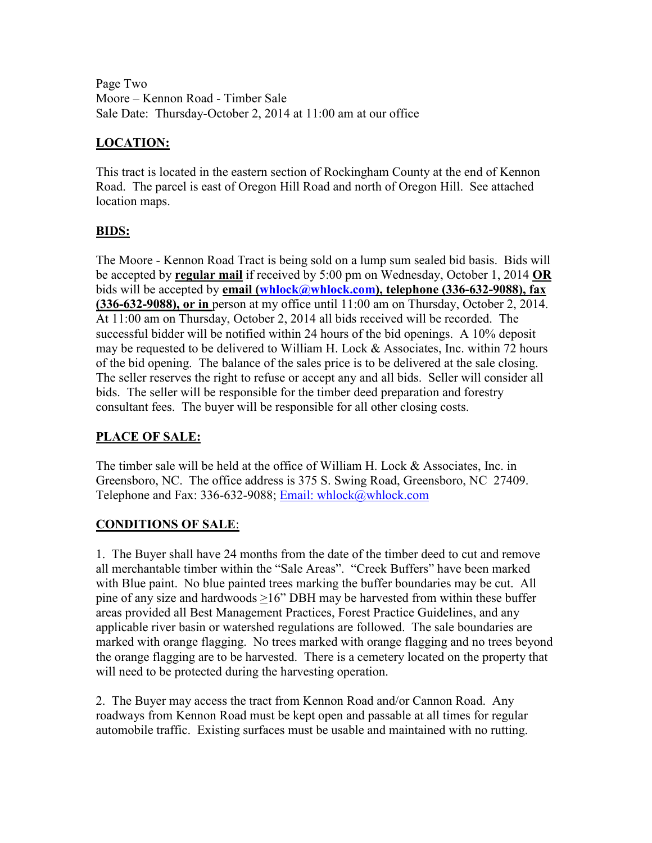Page Two Moore – Kennon Road - Timber Sale Sale Date: Thursday-October 2, 2014 at 11:00 am at our office

## **LOCATION:**

This tract is located in the eastern section of Rockingham County at the end of Kennon Road. The parcel is east of Oregon Hill Road and north of Oregon Hill. See attached location maps.

### **BIDS:**

The Moore - Kennon Road Tract is being sold on a lump sum sealed bid basis. Bids will be accepted by **regular mail** if received by 5:00 pm on Wednesday, October 1, 2014 **OR** bids will be accepted by **email (whlock@whlock.com), telephone (336-632-9088), fax (336-632-9088), or in** person at my office until 11:00 am on Thursday, October 2, 2014. At 11:00 am on Thursday, October 2, 2014 all bids received will be recorded. The successful bidder will be notified within 24 hours of the bid openings. A 10% deposit may be requested to be delivered to William H. Lock & Associates, Inc. within 72 hours of the bid opening. The balance of the sales price is to be delivered at the sale closing. The seller reserves the right to refuse or accept any and all bids. Seller will consider all bids. The seller will be responsible for the timber deed preparation and forestry consultant fees. The buyer will be responsible for all other closing costs.

### **PLACE OF SALE:**

The timber sale will be held at the office of William H. Lock & Associates, Inc. in Greensboro, NC. The office address is 375 S. Swing Road, Greensboro, NC 27409. Telephone and Fax: 336-632-9088; Email: whlock@whlock.com

### **CONDITIONS OF SALE**:

1. The Buyer shall have 24 months from the date of the timber deed to cut and remove all merchantable timber within the "Sale Areas". "Creek Buffers" have been marked with Blue paint. No blue painted trees marking the buffer boundaries may be cut. All pine of any size and hardwoods >16" DBH may be harvested from within these buffer areas provided all Best Management Practices, Forest Practice Guidelines, and any applicable river basin or watershed regulations are followed. The sale boundaries are marked with orange flagging. No trees marked with orange flagging and no trees beyond the orange flagging are to be harvested. There is a cemetery located on the property that will need to be protected during the harvesting operation.

2. The Buyer may access the tract from Kennon Road and/or Cannon Road. Any roadways from Kennon Road must be kept open and passable at all times for regular automobile traffic. Existing surfaces must be usable and maintained with no rutting.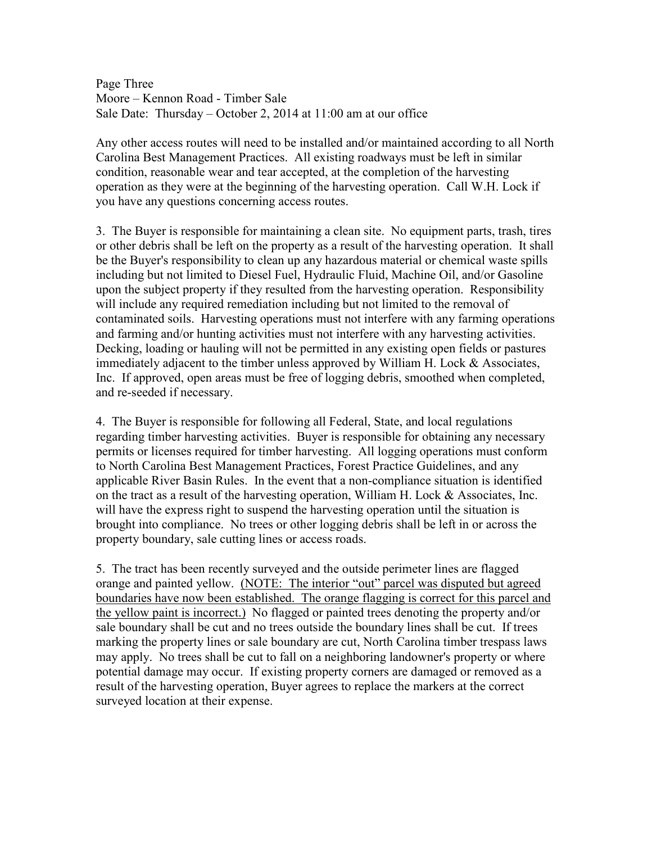Page Three Moore – Kennon Road - Timber Sale Sale Date: Thursday – October 2, 2014 at 11:00 am at our office

Any other access routes will need to be installed and/or maintained according to all North Carolina Best Management Practices. All existing roadways must be left in similar condition, reasonable wear and tear accepted, at the completion of the harvesting operation as they were at the beginning of the harvesting operation. Call W.H. Lock if you have any questions concerning access routes.

3. The Buyer is responsible for maintaining a clean site. No equipment parts, trash, tires or other debris shall be left on the property as a result of the harvesting operation. It shall be the Buyer's responsibility to clean up any hazardous material or chemical waste spills including but not limited to Diesel Fuel, Hydraulic Fluid, Machine Oil, and/or Gasoline upon the subject property if they resulted from the harvesting operation. Responsibility will include any required remediation including but not limited to the removal of contaminated soils. Harvesting operations must not interfere with any farming operations and farming and/or hunting activities must not interfere with any harvesting activities. Decking, loading or hauling will not be permitted in any existing open fields or pastures immediately adjacent to the timber unless approved by William H. Lock & Associates, Inc. If approved, open areas must be free of logging debris, smoothed when completed, and re-seeded if necessary.

4. The Buyer is responsible for following all Federal, State, and local regulations regarding timber harvesting activities. Buyer is responsible for obtaining any necessary permits or licenses required for timber harvesting. All logging operations must conform to North Carolina Best Management Practices, Forest Practice Guidelines, and any applicable River Basin Rules. In the event that a non-compliance situation is identified on the tract as a result of the harvesting operation, William H. Lock  $\&$  Associates, Inc. will have the express right to suspend the harvesting operation until the situation is brought into compliance. No trees or other logging debris shall be left in or across the property boundary, sale cutting lines or access roads.

5. The tract has been recently surveyed and the outside perimeter lines are flagged orange and painted yellow. (NOTE: The interior "out" parcel was disputed but agreed boundaries have now been established. The orange flagging is correct for this parcel and the yellow paint is incorrect.) No flagged or painted trees denoting the property and/or sale boundary shall be cut and no trees outside the boundary lines shall be cut. If trees marking the property lines or sale boundary are cut, North Carolina timber trespass laws may apply. No trees shall be cut to fall on a neighboring landowner's property or where potential damage may occur. If existing property corners are damaged or removed as a result of the harvesting operation, Buyer agrees to replace the markers at the correct surveyed location at their expense.